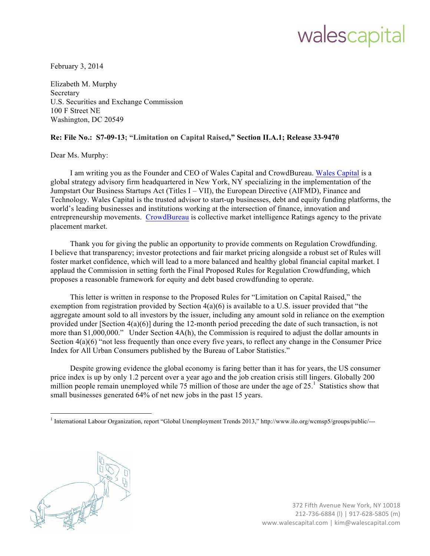## walescapital

February 3, 2014

 Elizabeth M. Murphy U.S. Securities and Exchange Commission 100 F Street NE Washington, DC 20549 **Secretary** 

## **Re: File No.: S7-09-13; "Limitation on Capital Raised," Section II.A.1; Release 33-9470**

Dear Ms. Murphy:

I am writing you as the Founder and CEO of Wales Capital and CrowdBureau. Wales Capital is a global strategy advisory firm headquartered in New York, NY specializing in the implementation of the Jumpstart Our Business Startups Act (Titles I – VII), the European Directive (AIFMD), Finance and Technology. Wales Capital is the trusted advisor to start-up businesses, debt and equity funding platforms, the world's leading businesses and institutions working at the intersection of finance, innovation and entrepreneurship movements. CrowdBureau is collective market intelligence Ratings agency to the private placement market.

 Thank you for giving the public an opportunity to provide comments on Regulation Crowdfunding. I believe that transparency; investor protections and fair market pricing alongside a robust set of Rules will foster market confidence, which will lead to a more balanced and healthy global financial capital market. I applaud the Commission in setting forth the Final Proposed Rules for Regulation Crowdfunding, which proposes a reasonable framework for equity and debt based crowdfunding to operate.

 This letter is written in response to the Proposed Rules for "Limitation on Capital Raised," the exemption from registration provided by Section 4(a)(6) is available to a U.S. issuer provided that "the aggregate amount sold to all investors by the issuer, including any amount sold in reliance on the exemption provided under [Section 4(a)(6)] during the 12-month period preceding the date of such transaction, is not more than \$1,000,000." Under Section 4A(h), the Commission is required to adjust the dollar amounts in Section 4(a)(6) "not less frequently than once every five years, to reflect any change in the Consumer Price Index for All Urban Consumers published by the Bureau of Labor Statistics."

 Despite growing evidence the global economy is faring better than it has for years, the US consumer price index is up by only 1.2 percent over a year ago and the job creation crisis still lingers. Globally 200 million people remain unemployed while 75 million of those are under the age of  $25<sup>1</sup>$ . Statistics show that small businesses generated 64% of net new jobs in the past 15 years.

<sup>&</sup>lt;sup>1</sup> International Labour Organization, report "Global Unemployment Trends 2013," http://www.ilo.org/wcmsp5/groups/public/---

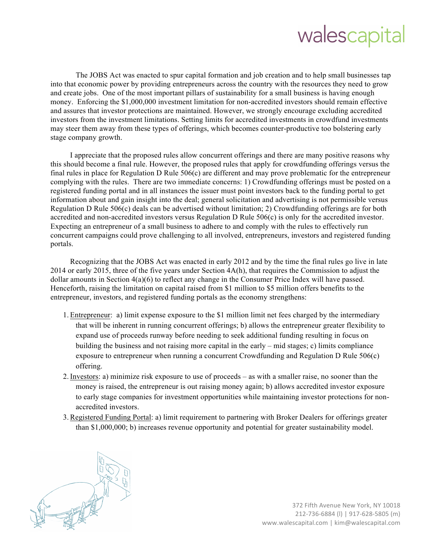## walescapital

 The JOBS Act was enacted to spur capital formation and job creation and to help small businesses tap and create jobs. One of the most important pillars of sustainability for a small business is having enough money. Enforcing the \$1,000,000 investment limitation for non-accredited investors should remain effective and assures that investor protections are maintained. However, we strongly encourage excluding accredited may steer them away from these types of offerings, which becomes counter-productive too bolstering early stage company growth. into that economic power by providing entrepreneurs across the country with the resources they need to grow investors from the investment limitations. Setting limits for accredited investments in crowdfund investments

 final rules in place for Regulation D Rule 506(c) are different and may prove problematic for the entrepreneur complying with the rules. There are two immediate concerns: 1) Crowdfunding offerings must be posted on a registered funding portal and in all instances the issuer must point investors back to the funding portal to get Regulation D Rule 506(c) deals can be advertised without limitation; 2) Crowdfunding offerings are for both accredited and non-accredited investors versus Regulation D Rule 506(c) is only for the accredited investor. Expecting an entrepreneur of a small business to adhere to and comply with the rules to effectively run concurrent campaigns could prove challenging to all involved, entrepreneurs, investors and registered funding I appreciate that the proposed rules allow concurrent offerings and there are many positive reasons why this should become a final rule. However, the proposed rules that apply for crowdfunding offerings versus the information about and gain insight into the deal; general solicitation and advertising is not permissible versus portals.

 Recognizing that the JOBS Act was enacted in early 2012 and by the time the final rules go live in late 2014 or early 2015, three of the five years under Section 4A(h), that requires the Commission to adjust the dollar amounts in Section 4(a)(6) to reflect any change in the Consumer Price Index will have passed. Henceforth, raising the limitation on capital raised from \$1 million to \$5 million offers benefits to the entrepreneur, investors, and registered funding portals as the economy strengthens:

- expand use of proceeds runway before needing to seek additional funding resulting in focus on building the business and not raising more capital in the early – mid stages; c) limits compliance exposure to entrepreneur when running a concurrent Crowdfunding and Regulation D Rule 506(c) 1. Entrepreneur: a) limit expense exposure to the \$1 million limit net fees charged by the intermediary that will be inherent in running concurrent offerings; b) allows the entrepreneur greater flexibility to offering.
- 2. Investors: a) minimize risk exposure to use of proceeds as with a smaller raise, no sooner than the money is raised, the entrepreneur is out raising money again; b) allows accredited investor exposure to early stage companies for investment opportunities while maintaining investor protections for nonaccredited investors.
- 3. Registered Funding Portal: a) limit requirement to partnering with Broker Dealers for offerings greater than \$1,000,000; b) increases revenue opportunity and potential for greater sustainability model.



372 Fifth Avenue New York, NY 10018 212-736-6884 (l) | 917-628-5805 (m) www.walescapital.com | kim@walescapital.com